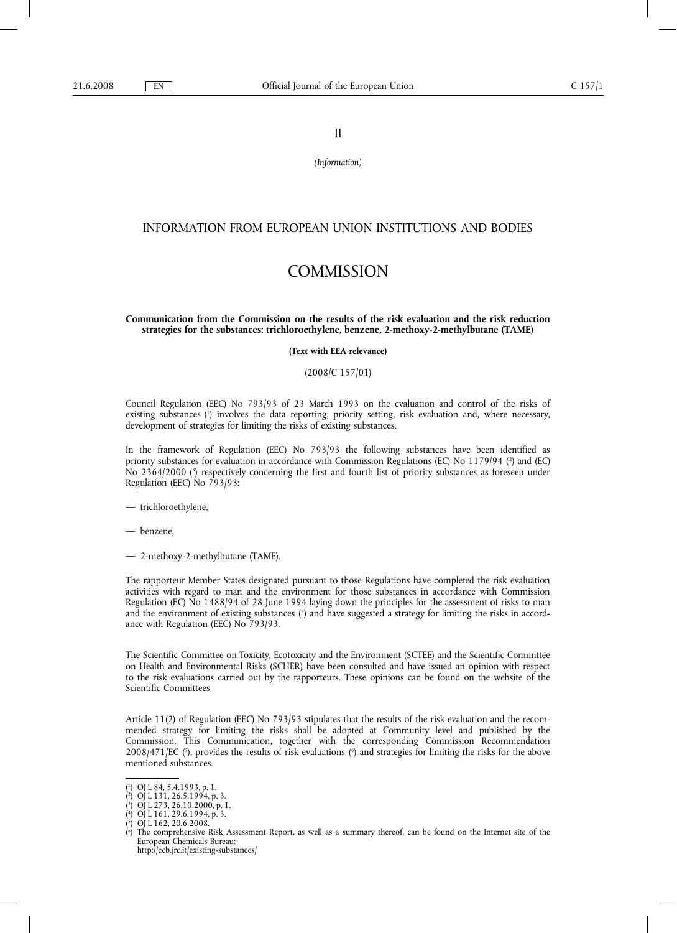II

*(Information)*

# INFORMATION FROM EUROPEAN UNION INSTITUTIONS AND BODIES

# **COMMISSION**

# **Communication from the Commission on the results of the risk evaluation and the risk reduction strategies for the substances: trichloroethylene, benzene, 2-methoxy-2-methylbutane (TAME)**

**(Text with EEA relevance)**

# (2008/C 157/01)

Council Regulation (EEC) No 793/93 of 23 March 1993 on the evaluation and control of the risks of existing substances (1 ) involves the data reporting, priority setting, risk evaluation and, where necessary, development of strategies for limiting the risks of existing substances.

In the framework of Regulation (EEC) No 793/93 the following substances have been identified as priority substances for evaluation in accordance with Commission Regulations (EC) No 1179/94 (?) and (EC) No 2364/2000 (3 ) respectively concerning the first and fourth list of priority substances as foreseen under Regulation (EEC) No 793/93:

— trichloroethylene,

— benzene,

— 2-methoxy-2-methylbutane (TAME).

The rapporteur Member States designated pursuant to those Regulations have completed the risk evaluation activities with regard to man and the environment for those substances in accordance with Commission Regulation (EC) No 1488/94 of 28 June 1994 laying down the principles for the assessment of risks to man and the environment of existing substances (\*) and have suggested a strategy for limiting the risks in accordance with Regulation (EEC) No 793/93.

The Scientific Committee on Toxicity, Ecotoxicity and the Environment (SCTEE) and the Scientific Committee on Health and Environmental Risks (SCHER) have been consulted and have issued an opinion with respect to the risk evaluations carried out by the rapporteurs. These opinions can be found on the website of the Scientific Committees

Article 11(2) of Regulation (EEC) No 793/93 stipulates that the results of the risk evaluation and the recommended strategy for limiting the risks shall be adopted at Community level and published by the Commission. This Communication, together with the corresponding Commission Recommendation  $2008/471$  [EC  $(3)$ , provides the results of risk evaluations  $(6)$  and strategies for limiting the risks for the above mentioned substances.

( 6 ) The comprehensive Risk Assessment Report, as well as a summary thereof, can be found on the Internet site of the European Chemicals Bureau: http://ecb.jrc.it/existing-substances/

<sup>(</sup> 1 ) OJ L 84, 5.4.1993, p. 1.

<sup>(</sup> 2 ) OJ L 131, 26.5.1994, p. 3.

<sup>(</sup> 3 ) OJ L 273, 26.10.2000, p. 1.

<sup>(</sup> 4 ) OJ L 161, 29.6.1994, p. 3.

<sup>(</sup> 5 ) OJ L 162, 20.6.2008.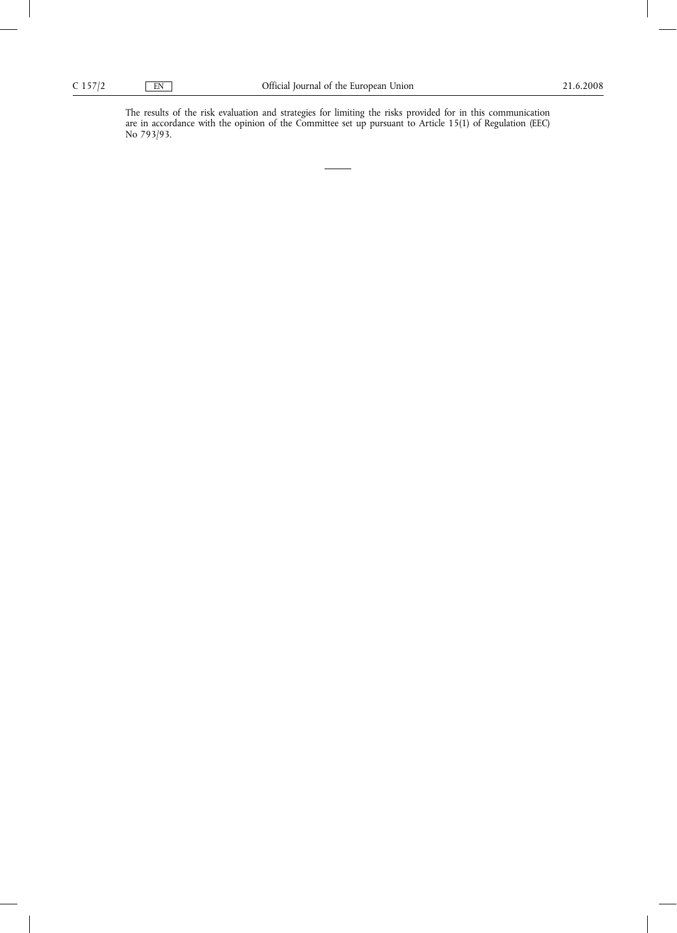The results of the risk evaluation and strategies for limiting the risks provided for in this communication are in accordance with the opinion of the Committee set up pursuant to Article 15(1) of Regulation (EEC) No 793/93.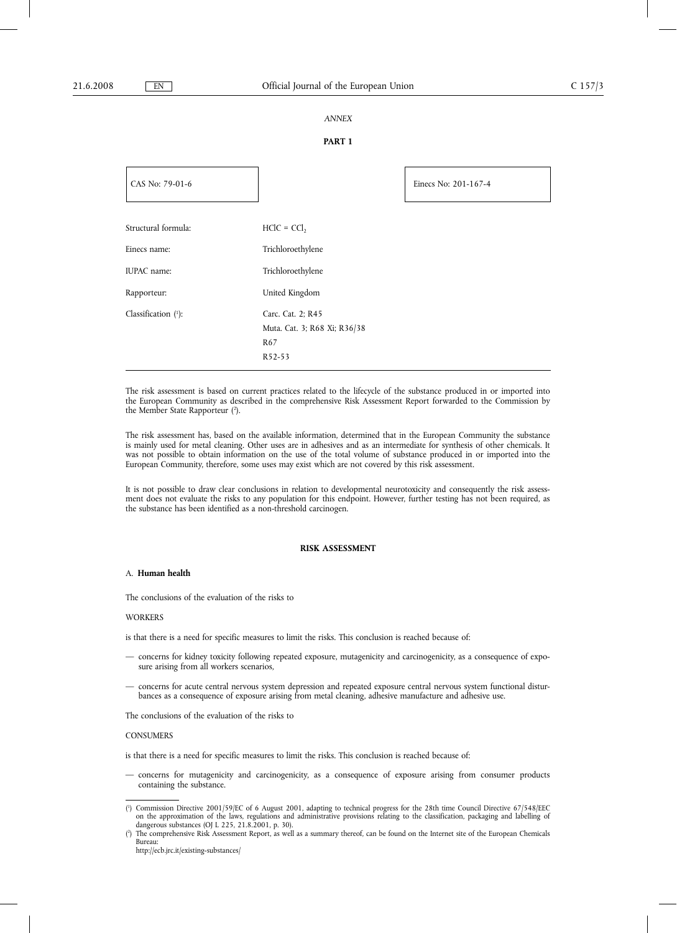# *ANNEX*

# **PART 1**

| CAS No: 79-01-6     |                              | Einecs No: 201-167-4 |
|---------------------|------------------------------|----------------------|
|                     |                              |                      |
| Structural formula: | $HClC = CCl$                 |                      |
| Einecs name:        | Trichloroethylene            |                      |
| IUPAC name:         | Trichloroethylene            |                      |
| Rapporteur:         | United Kingdom               |                      |
| Classification (1): | Carc. Cat. 2; R45            |                      |
|                     | Muta. Cat. 3; R68 Xi; R36/38 |                      |
|                     | R <sub>67</sub>              |                      |
|                     | R52-53                       |                      |

The risk assessment is based on current practices related to the lifecycle of the substance produced in or imported into the European Community as described in the comprehensive Risk Assessment Report forwarded to the Commission by the Member State Rapporteur (<sup>2</sup>).

The risk assessment has, based on the available information, determined that in the European Community the substance is mainly used for metal cleaning. Other uses are in adhesives and as an intermediate for synthesis of other chemicals. It was not possible to obtain information on the use of the total volume of substance produced in or imported into the European Community, therefore, some uses may exist which are not covered by this risk assessment.

It is not possible to draw clear conclusions in relation to developmental neurotoxicity and consequently the risk assessment does not evaluate the risks to any population for this endpoint. However, further testing has not been required, as the substance has been identified as a non-threshold carcinogen.

#### **RISK ASSESSMENT**

#### A. **Human health**

The conclusions of the evaluation of the risks to

# **WORKERS**

is that there is a need for specific measures to limit the risks. This conclusion is reached because of:

- concerns for kidney toxicity following repeated exposure, mutagenicity and carcinogenicity, as a consequence of exposure arising from all workers scenarios,
- concerns for acute central nervous system depression and repeated exposure central nervous system functional disturbances as a consequence of exposure arising from metal cleaning, adhesive manufacture and adhesive use.

The conclusions of the evaluation of the risks to

#### **CONSUMERS**

is that there is a need for specific measures to limit the risks. This conclusion is reached because of:

— concerns for mutagenicity and carcinogenicity, as a consequence of exposure arising from consumer products containing the substance.

<sup>(</sup> 1 ) Commission Directive 2001/59/EC of 6 August 2001, adapting to technical progress for the 28th time Council Directive 67/548/EEC on the approximation of the laws, regulations and administrative provisions relating to the classification, packaging and labelling of dangerous substances (OJ L 225, 21.8.2001, p. 30).

 $(2)$ ) The comprehensive Risk Assessment Report, as well as a summary thereof, can be found on the Internet site of the European Chemicals Bureau:

http://ecb.jrc.it/existing-substances/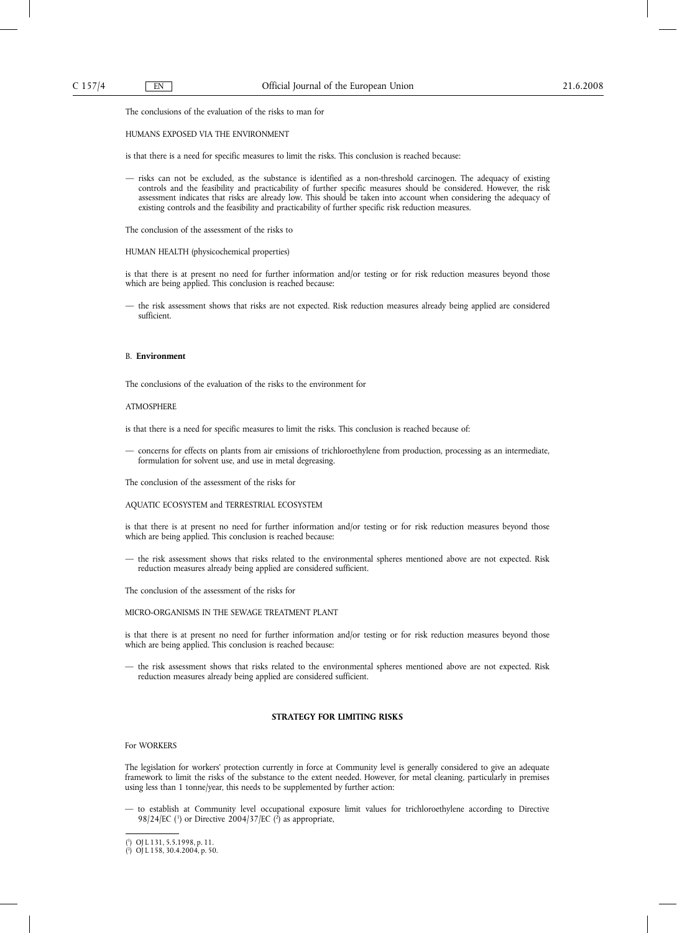The conclusions of the evaluation of the risks to man for

#### HUMANS EXPOSED VIA THE ENVIRONMENT

is that there is a need for specific measures to limit the risks. This conclusion is reached because:

— risks can not be excluded, as the substance is identified as a non-threshold carcinogen. The adequacy of existing controls and the feasibility and practicability of further specific measures should be considered. However, the risk assessment indicates that risks are already low. This should be taken into account when considering the adequacy of existing controls and the feasibility and practicability of further specific risk reduction measures.

The conclusion of the assessment of the risks to

#### HUMAN HEALTH (physicochemical properties)

is that there is at present no need for further information and/or testing or for risk reduction measures beyond those which are being applied. This conclusion is reached because:

— the risk assessment shows that risks are not expected. Risk reduction measures already being applied are considered sufficient.

## B. **Environment**

The conclusions of the evaluation of the risks to the environment for

### ATMOSPHERE

is that there is a need for specific measures to limit the risks. This conclusion is reached because of:

— concerns for effects on plants from air emissions of trichloroethylene from production, processing as an intermediate, formulation for solvent use, and use in metal degreasing.

The conclusion of the assessment of the risks for

# AQUATIC ECOSYSTEM and TERRESTRIAL ECOSYSTEM

is that there is at present no need for further information and/or testing or for risk reduction measures beyond those which are being applied. This conclusion is reached because:

— the risk assessment shows that risks related to the environmental spheres mentioned above are not expected. Risk reduction measures already being applied are considered sufficient.

The conclusion of the assessment of the risks for

MICRO-ORGANISMS IN THE SEWAGE TREATMENT PLANT

is that there is at present no need for further information and/or testing or for risk reduction measures beyond those which are being applied. This conclusion is reached because:

— the risk assessment shows that risks related to the environmental spheres mentioned above are not expected. Risk reduction measures already being applied are considered sufficient.

# **STRATEGY FOR LIMITING RISKS**

#### For WORKERS

The legislation for workers' protection currently in force at Community level is generally considered to give an adequate framework to limit the risks of the substance to the extent needed. However, for metal cleaning, particularly in premises using less than 1 tonne/year, this needs to be supplemented by further action:

— to establish at Community level occupational exposure limit values for trichloroethylene according to Directive 98/24/EC ( $\frac{1}{1}$ ) or Directive 2004/37/EC ( $\frac{2}{1}$ ) as appropriate,

<sup>(</sup> 1 ) OJ L 131, 5.5.1998, p. 11.

<sup>(</sup> 2 ) OJ L 158, 30.4.2004, p. 50.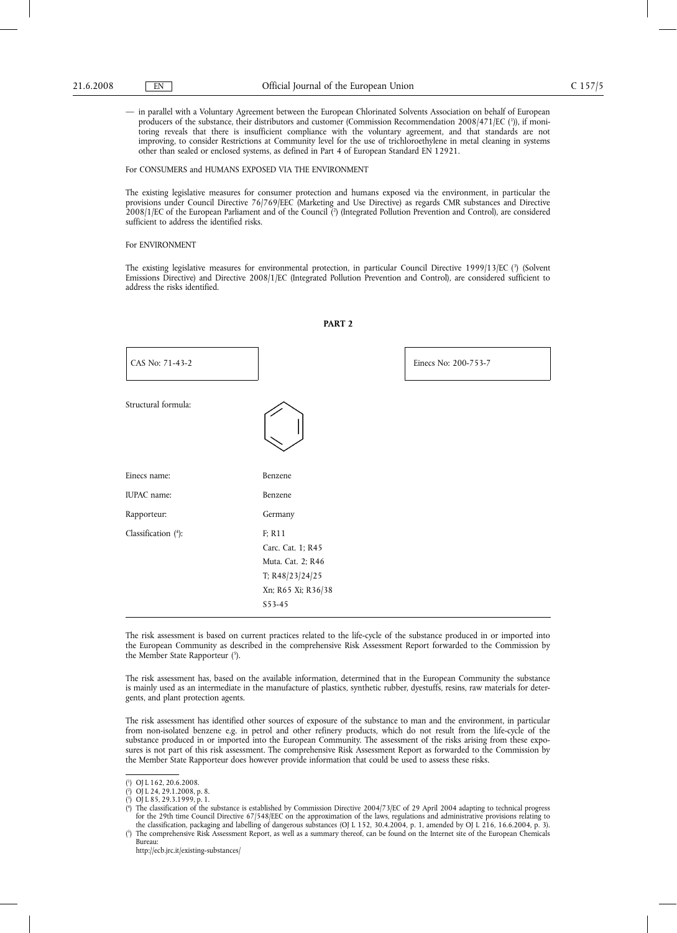— in parallel with a Voluntary Agreement between the European Chlorinated Solvents Association on behalf of European producers of the substance, their distributors and customer (Commission Recommendation 2008/471/EC (')), if monitoring reveals that there is insufficient compliance with the voluntary agreement, and that standards are not improving, to consider Restrictions at Community level for the use of trichloroethylene in metal cleaning in systems other than sealed or enclosed systems, as defined in Part 4 of European Standard EN 12921.

#### For CONSUMERS and HUMANS EXPOSED VIA THE ENVIRONMENT

The existing legislative measures for consumer protection and humans exposed via the environment, in particular the provisions under Council Directive 76/769/EEC (Marketing and Use Directive) as regards CMR substances and Directive 2008/1/EC of the European Parliament and of the Council (2 ) (Integrated Pollution Prevention and Control), are considered sufficient to address the identified risks.

#### For ENVIRONMENT

The existing legislative measures for environmental protection, in particular Council Directive 1999/13/EC (3 ) (Solvent Emissions Directive) and Directive 2008/1/EC (Integrated Pollution Prevention and Control), are considered sufficient to address the risks identified.

**PART 2**

| CAS No: 71-43-2     |                                                                                                     | Einecs No: 200-753-7 |
|---------------------|-----------------------------------------------------------------------------------------------------|----------------------|
| Structural formula: |                                                                                                     |                      |
| Einecs name:        | Benzene                                                                                             |                      |
| IUPAC name:         | Benzene                                                                                             |                      |
| Rapporteur:         | Germany                                                                                             |                      |
| Classification (4): | F; R11<br>Carc. Cat. 1; R45<br>Muta. Cat. 2; R46<br>T; R48/23/24/25<br>Xn; R65 Xi; R36/38<br>S53-45 |                      |

The risk assessment is based on current practices related to the life-cycle of the substance produced in or imported into the European Community as described in the comprehensive Risk Assessment Report forwarded to the Commission by the Member State Rapporteur (5).

The risk assessment has, based on the available information, determined that in the European Community the substance is mainly used as an intermediate in the manufacture of plastics, synthetic rubber, dyestuffs, resins, raw materials for detergents, and plant protection agents.

The risk assessment has identified other sources of exposure of the substance to man and the environment, in particular from non-isolated benzene e.g. in petrol and other refinery products, which do not result from the life-cycle of the substance produced in or imported into the European Community. The assessment of the risks arising from these exposures is not part of this risk assessment. The comprehensive Risk Assessment Report as forwarded to the Commission by the Member State Rapporteur does however provide information that could be used to assess these risks.

(

( 4 ) The classification of the substance is established by Commission Directive 2004/73/EC of 29 April 2004 adapting to technical progress for the 29th time Council Directive 67/548/EEC on the approximation of the laws, regulations and administrative provisions relating to the classification, packaging and labelling of dangerous substances (OJ L 152, 30.4.2004, p. 1, amended by OJ L 216, 16.6.2004, p. 3). ( 5 ) The comprehensive Risk Assessment Report, as well as a summary thereof, can be found on the Internet site of the European Chemicals

Bureau:

http://ecb.jrc.it/existing-substances/

<sup>(</sup> 1 ) OJ L 162, 20.6.2008.

<sup>(</sup> 2 ) OJ L 24, 29.1.2008, p. 8. 3

<sup>)</sup> OJ L 85, 29.3.1999, p. 1.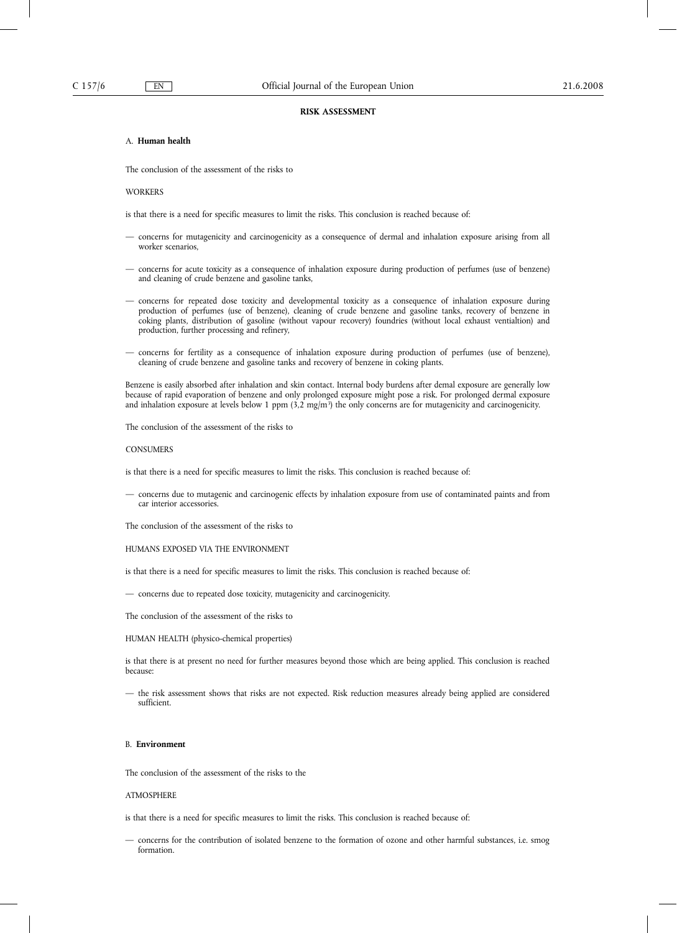#### **RISK ASSESSMENT**

# A. **Human health**

The conclusion of the assessment of the risks to

WORKERS

is that there is a need for specific measures to limit the risks. This conclusion is reached because of:

- concerns for mutagenicity and carcinogenicity as a consequence of dermal and inhalation exposure arising from all worker scenarios,
- concerns for acute toxicity as a consequence of inhalation exposure during production of perfumes (use of benzene) and cleaning of crude benzene and gasoline tanks,
- concerns for repeated dose toxicity and developmental toxicity as a consequence of inhalation exposure during production of perfumes (use of benzene), cleaning of crude benzene and gasoline tanks, recovery of benzene in coking plants, distribution of gasoline (without vapour recovery) foundries (without local exhaust ventialtion) and production, further processing and refinery,
- concerns for fertility as a consequence of inhalation exposure during production of perfumes (use of benzene), cleaning of crude benzene and gasoline tanks and recovery of benzene in coking plants.

Benzene is easily absorbed after inhalation and skin contact. Internal body burdens after demal exposure are generally low because of rapid evaporation of benzene and only prolonged exposure might pose a risk. For prolonged dermal exposure and inhalation exposure at levels below 1 ppm  $(3,2 \text{ mg/m}^3)$  the only concerns are for mutagenicity and carcinogenicity.

The conclusion of the assessment of the risks to

#### **CONSUMERS**

is that there is a need for specific measures to limit the risks. This conclusion is reached because of:

— concerns due to mutagenic and carcinogenic effects by inhalation exposure from use of contaminated paints and from car interior accessories.

The conclusion of the assessment of the risks to

# HUMANS EXPOSED VIA THE ENVIRONMENT

is that there is a need for specific measures to limit the risks. This conclusion is reached because of:

— concerns due to repeated dose toxicity, mutagenicity and carcinogenicity.

The conclusion of the assessment of the risks to

# HUMAN HEALTH (physico-chemical properties)

is that there is at present no need for further measures beyond those which are being applied. This conclusion is reached because:

— the risk assessment shows that risks are not expected. Risk reduction measures already being applied are considered sufficient.

# B. **Environment**

The conclusion of the assessment of the risks to the

## ATMOSPHERE

is that there is a need for specific measures to limit the risks. This conclusion is reached because of:

— concerns for the contribution of isolated benzene to the formation of ozone and other harmful substances, i.e. smog formation.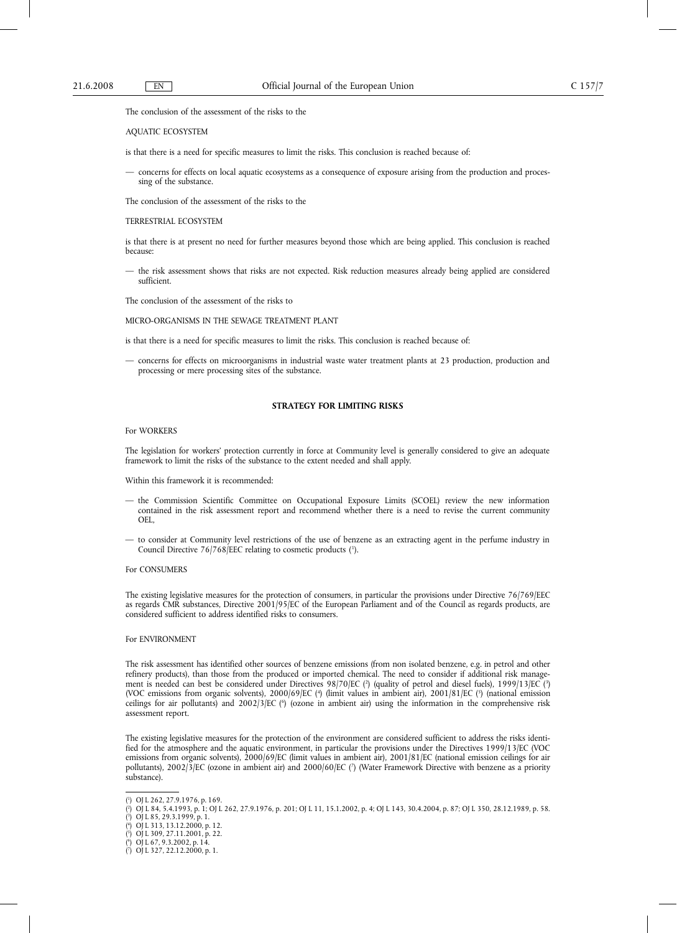The conclusion of the assessment of the risks to the

#### AQUATIC ECOSYSTEM

is that there is a need for specific measures to limit the risks. This conclusion is reached because of:

— concerns for effects on local aquatic ecosystems as a consequence of exposure arising from the production and processing of the substance.

The conclusion of the assessment of the risks to the

#### TERRESTRIAL ECOSYSTEM

is that there is at present no need for further measures beyond those which are being applied. This conclusion is reached because:

— the risk assessment shows that risks are not expected. Risk reduction measures already being applied are considered sufficient.

The conclusion of the assessment of the risks to

MICRO-ORGANISMS IN THE SEWAGE TREATMENT PLANT

is that there is a need for specific measures to limit the risks. This conclusion is reached because of:

— concerns for effects on microorganisms in industrial waste water treatment plants at 23 production, production and processing or mere processing sites of the substance.

#### **STRATEGY FOR LIMITING RISKS**

#### For WORKERS

The legislation for workers' protection currently in force at Community level is generally considered to give an adequate framework to limit the risks of the substance to the extent needed and shall apply.

Within this framework it is recommended:

— the Commission Scientific Committee on Occupational Exposure Limits (SCOEL) review the new information contained in the risk assessment report and recommend whether there is a need to revise the current community OEL,

— to consider at Community level restrictions of the use of benzene as an extracting agent in the perfume industry in Council Directive 76/768/EEC relating to cosmetic products (1).

## For CONSUMERS

The existing legislative measures for the protection of consumers, in particular the provisions under Directive 76/769/EEC as regards CMR substances, Directive 2001/95/EC of the European Parliament and of the Council as regards products, are considered sufficient to address identified risks to consumers.

#### For ENVIRONMENT

The risk assessment has identified other sources of benzene emissions (from non isolated benzene, e.g. in petrol and other refinery products), than those from the produced or imported chemical. The need to consider if additional risk management is needed can best be considered under Directives 98/70/EC (?) (quality of petrol and diesel fuels), 1999/13/EC (?) (VOC emissions from organic solvents), 2000/69/EC (<sup>4</sup>) (limit values in ambient air), 2001/81/EC (<sup>5</sup>) (national emission ceilings for air pollutants) and 2002/3/EC (<sup>6</sup>) (ozone in ambient air) using the information in the comprehensive risk assessment report.

The existing legislative measures for the protection of the environment are considered sufficient to address the risks identified for the atmosphere and the aquatic environment, in particular the provisions under the Directives 1999/13/EC (VOC emissions from organic solvents), 2000/69/EC (limit values in ambient air), 2001/81/EC (national emission ceilings for air pollutants), 2002/3/EC (ozone in ambient air) and 2000/60/EC (7 ) (Water Framework Directive with benzene as a priority substance).

<sup>(</sup> 1 ) OJ L 262, 27.9.1976, p. 169.

<sup>(</sup> 2 ) OJ L 84, 5.4.1993, p. 1; OJ L 262, 27.9.1976, p. 201; OJ L 11, 15.1.2002, p. 4; OJ L 143, 30.4.2004, p. 87; OJ L 350, 28.12.1989, p. 58.

<sup>(</sup> 3 ) OJ L 85, 29.3.1999, p. 1. ( 4 ) OJ L 313, 13.12.2000, p. 12.

<sup>(</sup> 5 ) OJ L 309, 27.11.2001, p. 22.

<sup>(</sup> 6 ) OJ L 67, 9.3.2002, p. 14.

<sup>(</sup> 7 ) OJ L 327, 22.12.2000, p. 1.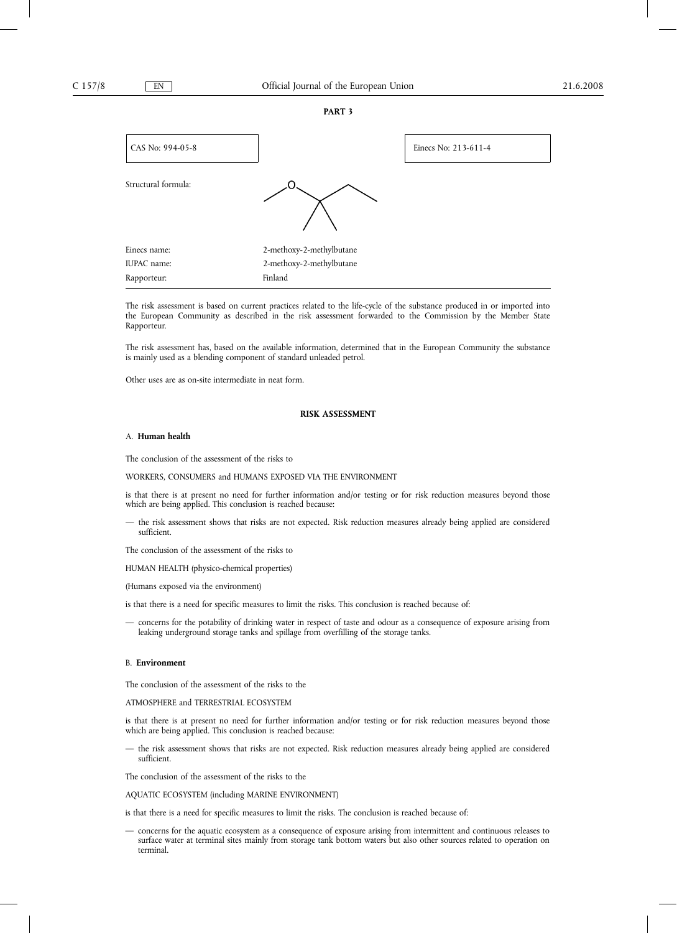**PART 3**



The risk assessment is based on current practices related to the life-cycle of the substance produced in or imported into the European Community as described in the risk assessment forwarded to the Commission by the Member State Rapporteur.

The risk assessment has, based on the available information, determined that in the European Community the substance is mainly used as a blending component of standard unleaded petrol.

Other uses are as on-site intermediate in neat form.

## **RISK ASSESSMENT**

#### A. **Human health**

The conclusion of the assessment of the risks to

WORKERS, CONSUMERS and HUMANS EXPOSED VIA THE ENVIRONMENT

is that there is at present no need for further information and/or testing or for risk reduction measures beyond those which are being applied. This conclusion is reached because:

— the risk assessment shows that risks are not expected. Risk reduction measures already being applied are considered sufficient.

The conclusion of the assessment of the risks to

HUMAN HEALTH (physico-chemical properties)

(Humans exposed via the environment)

is that there is a need for specific measures to limit the risks. This conclusion is reached because of:

— concerns for the potability of drinking water in respect of taste and odour as a consequence of exposure arising from leaking underground storage tanks and spillage from overfilling of the storage tanks.

# B. **Environment**

The conclusion of the assessment of the risks to the

ATMOSPHERE and TERRESTRIAL ECOSYSTEM

is that there is at present no need for further information and/or testing or for risk reduction measures beyond those which are being applied. This conclusion is reached because:

— the risk assessment shows that risks are not expected. Risk reduction measures already being applied are considered sufficient.

The conclusion of the assessment of the risks to the

AQUATIC ECOSYSTEM (including MARINE ENVIRONMENT)

is that there is a need for specific measures to limit the risks. The conclusion is reached because of:

— concerns for the aquatic ecosystem as a consequence of exposure arising from intermittent and continuous releases to surface water at terminal sites mainly from storage tank bottom waters but also other sources related to operation on terminal.